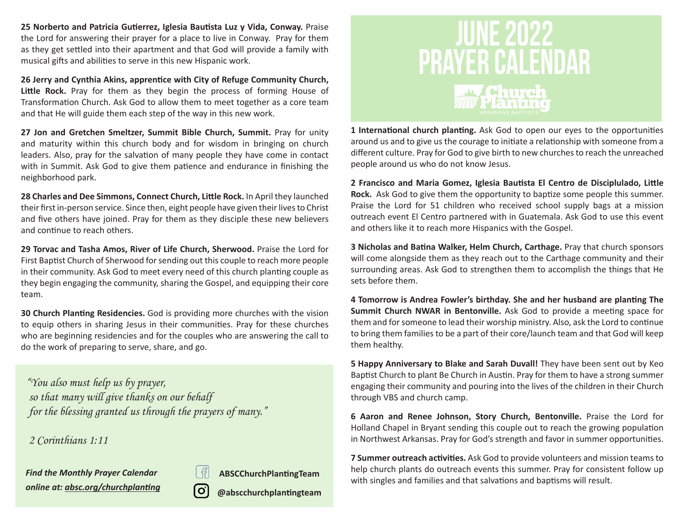**25 Norberto and Patricia Gutierrez, Iglesia Bautista Luz y Vida, Conway.** Praise the Lord for answering their prayer for a place to live in Conway. Pray for them as they get settled into their apartment and that God will provide a family with musical gifts and abilities to serve in this new Hispanic work.

**26 Jerry and Cynthia Akins, apprentice with City of Refuge Community Church,**  Little Rock. Pray for them as they begin the process of forming House of Transformation Church. Ask God to allow them to meet together as a core team and that He will guide them each step of the way in this new work.

**27 Jon and Gretchen Smeltzer, Summit Bible Church, Summit.** Pray for unity and maturity within this church body and for wisdom in bringing on church leaders. Also, pray for the salvation of many people they have come in contact with in Summit. Ask God to give them patience and endurance in finishing the neighborhood park.

**28 Charles and Dee Simmons, Connect Church, Little Rock.** In April they launched their first in-person service. Since then, eight people have given their lives to Christ and five others have joined. Pray for them as they disciple these new believers and continue to reach others.

**29 Torvac and Tasha Amos, River of Life Church, Sherwood.** Praise the Lord for First Baptist Church of Sherwood for sending out this couple to reach more people in their community. Ask God to meet every need of this church planting couple as they begin engaging the community, sharing the Gospel, and equipping their core team.

**30 Church Planting Residencies.** God is providing more churches with the vision to equip others in sharing Jesus in their communities. Pray for these churches who are beginning residencies and for the couples who are answering the call to do the work of preparing to serve, share, and go.

 *"You also must help us by prayer, so that many will give thanks on our behalf for the blessing granted us through the prayers of many."*

 *2 Corinthians 1:11*

*Find the Monthly Prayer Calendar online at: absc.org/churchplanting*



**ABSCChurchPlantingTeam**

**@abscchurchplantingteam**



**1 International church planting.** Ask God to open our eyes to the opportunities around us and to give us the courage to initiate a relationship with someone from a different culture. Pray for God to give birth to new churches to reach the unreached people around us who do not know Jesus.

**2 Francisco and Maria Gomez, Iglesia Bautista El Centro de Disciplulado, Little Rock.** Ask God to give them the opportunity to baptize some people this summer. Praise the Lord for 51 children who received school supply bags at a mission outreach event El Centro partnered with in Guatemala. Ask God to use this event and others like it to reach more Hispanics with the Gospel.

**3 Nicholas and Batina Walker, Helm Church, Carthage.** Pray that church sponsors will come alongside them as they reach out to the Carthage community and their surrounding areas. Ask God to strengthen them to accomplish the things that He sets before them.

**4 Tomorrow is Andrea Fowler's birthday. She and her husband are planting The Summit Church NWAR in Bentonville.** Ask God to provide a meeting space for them and for someone to lead their worship ministry. Also, ask the Lord to continue to bring them families to be a part of their core/launch team and that God will keep them healthy.

**5 Happy Anniversary to Blake and Sarah Duvall!** They have been sent out by Keo Baptist Church to plant Be Church in Austin. Pray for them to have a strong summer engaging their community and pouring into the lives of the children in their Church through VBS and church camp.

**6 Aaron and Renee Johnson, Story Church, Bentonville.** Praise the Lord for Holland Chapel in Bryant sending this couple out to reach the growing population in Northwest Arkansas. Pray for God's strength and favor in summer opportunities.

**7 Summer outreach activities.** Ask God to provide volunteers and mission teams to help church plants do outreach events this summer. Pray for consistent follow up with singles and families and that salvations and baptisms will result.